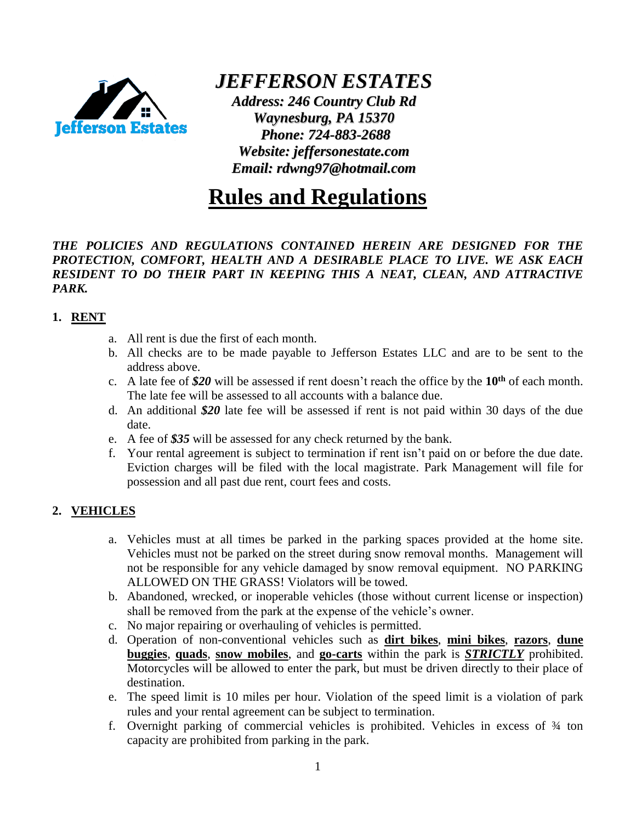

*JEFFERSON ESTATES*

*Address: 246 Country Club Rd Waynesburg, PA 15370 Phone: 724-883-2688 Website: jeffersonestate.com Email: rdwng97@hotmail.com*

# **Rules and Regulations**

#### *THE POLICIES AND REGULATIONS CONTAINED HEREIN ARE DESIGNED FOR THE PROTECTION, COMFORT, HEALTH AND A DESIRABLE PLACE TO LIVE. WE ASK EACH RESIDENT TO DO THEIR PART IN KEEPING THIS A NEAT, CLEAN, AND ATTRACTIVE PARK.*

#### **1. RENT**

- a. All rent is due the first of each month.
- b. All checks are to be made payable to Jefferson Estates LLC and are to be sent to the address above.
- c. A late fee of *\$20* will be assessed if rent doesn't reach the office by the **10th** of each month. The late fee will be assessed to all accounts with a balance due.
- d. An additional *\$20* late fee will be assessed if rent is not paid within 30 days of the due date.
- e. A fee of *\$35* will be assessed for any check returned by the bank.
- f. Your rental agreement is subject to termination if rent isn't paid on or before the due date. Eviction charges will be filed with the local magistrate. Park Management will file for possession and all past due rent, court fees and costs.

#### **2. VEHICLES**

- a. Vehicles must at all times be parked in the parking spaces provided at the home site. Vehicles must not be parked on the street during snow removal months. Management will not be responsible for any vehicle damaged by snow removal equipment. NO PARKING ALLOWED ON THE GRASS! Violators will be towed.
- b. Abandoned, wrecked, or inoperable vehicles (those without current license or inspection) shall be removed from the park at the expense of the vehicle's owner.
- c. No major repairing or overhauling of vehicles is permitted.
- d. Operation of non-conventional vehicles such as **dirt bikes**, **mini bikes**, **razors**, **dune buggies**, **quads**, **snow mobiles**, and **go-carts** within the park is *STRICTLY* prohibited. Motorcycles will be allowed to enter the park, but must be driven directly to their place of destination.
- e. The speed limit is 10 miles per hour. Violation of the speed limit is a violation of park rules and your rental agreement can be subject to termination.
- f. Overnight parking of commercial vehicles is prohibited. Vehicles in excess of ¾ ton capacity are prohibited from parking in the park.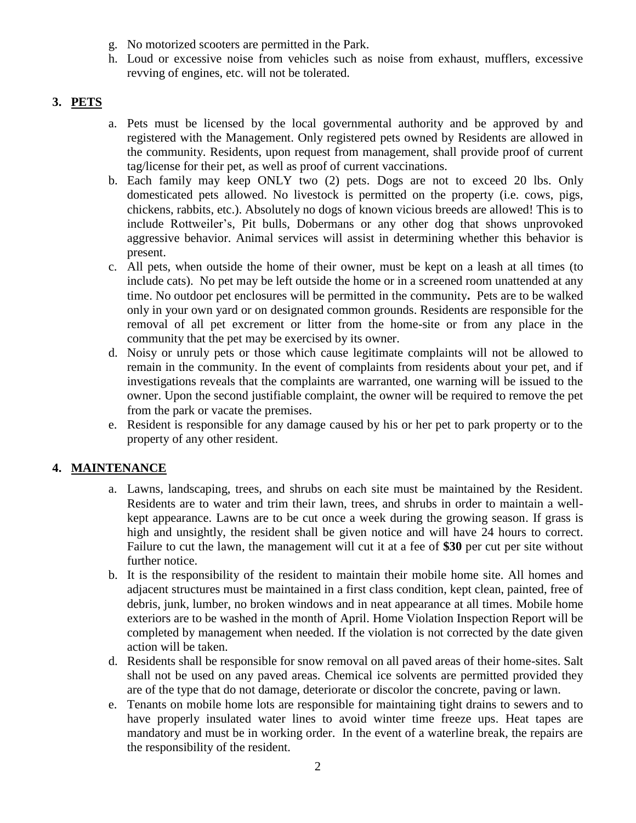- g. No motorized scooters are permitted in the Park.
- h. Loud or excessive noise from vehicles such as noise from exhaust, mufflers, excessive revving of engines, etc. will not be tolerated.

#### **3. PETS**

- a. Pets must be licensed by the local governmental authority and be approved by and registered with the Management. Only registered pets owned by Residents are allowed in the community. Residents, upon request from management, shall provide proof of current tag/license for their pet, as well as proof of current vaccinations.
- b. Each family may keep ONLY two (2) pets. Dogs are not to exceed 20 lbs. Only domesticated pets allowed. No livestock is permitted on the property (i.e. cows, pigs, chickens, rabbits, etc.). Absolutely no dogs of known vicious breeds are allowed! This is to include Rottweiler's, Pit bulls, Dobermans or any other dog that shows unprovoked aggressive behavior. Animal services will assist in determining whether this behavior is present.
- c. All pets, when outside the home of their owner, must be kept on a leash at all times (to include cats). No pet may be left outside the home or in a screened room unattended at any time. No outdoor pet enclosures will be permitted in the community**.** Pets are to be walked only in your own yard or on designated common grounds. Residents are responsible for the removal of all pet excrement or litter from the home-site or from any place in the community that the pet may be exercised by its owner.
- d. Noisy or unruly pets or those which cause legitimate complaints will not be allowed to remain in the community. In the event of complaints from residents about your pet, and if investigations reveals that the complaints are warranted, one warning will be issued to the owner. Upon the second justifiable complaint, the owner will be required to remove the pet from the park or vacate the premises.
- e. Resident is responsible for any damage caused by his or her pet to park property or to the property of any other resident.

#### **4. MAINTENANCE**

- a. Lawns, landscaping, trees, and shrubs on each site must be maintained by the Resident. Residents are to water and trim their lawn, trees, and shrubs in order to maintain a wellkept appearance. Lawns are to be cut once a week during the growing season. If grass is high and unsightly, the resident shall be given notice and will have 24 hours to correct. Failure to cut the lawn, the management will cut it at a fee of **\$30** per cut per site without further notice.
- b. It is the responsibility of the resident to maintain their mobile home site. All homes and adjacent structures must be maintained in a first class condition, kept clean, painted, free of debris, junk, lumber, no broken windows and in neat appearance at all times. Mobile home exteriors are to be washed in the month of April. Home Violation Inspection Report will be completed by management when needed. If the violation is not corrected by the date given action will be taken.
- d. Residents shall be responsible for snow removal on all paved areas of their home-sites. Salt shall not be used on any paved areas. Chemical ice solvents are permitted provided they are of the type that do not damage, deteriorate or discolor the concrete, paving or lawn.
- e. Tenants on mobile home lots are responsible for maintaining tight drains to sewers and to have properly insulated water lines to avoid winter time freeze ups. Heat tapes are mandatory and must be in working order. In the event of a waterline break, the repairs are the responsibility of the resident.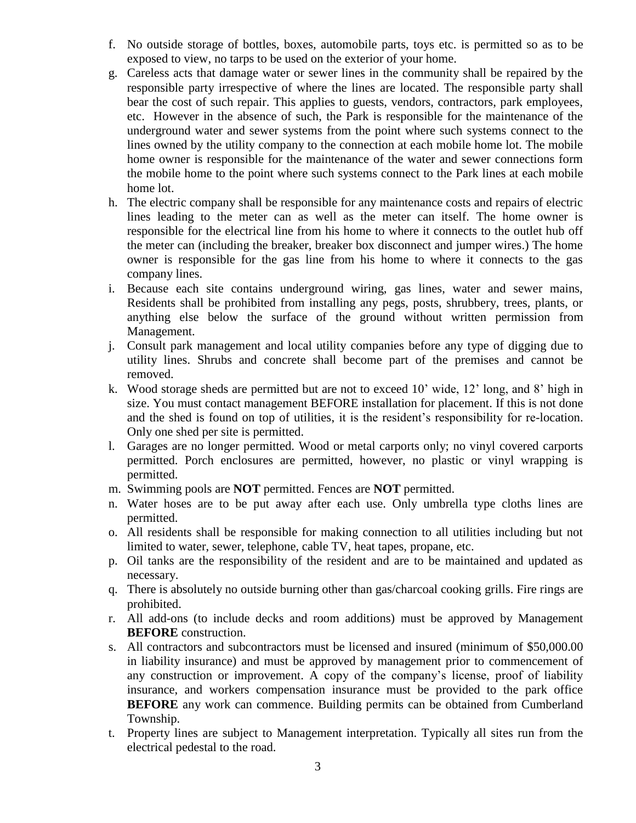- f. No outside storage of bottles, boxes, automobile parts, toys etc. is permitted so as to be exposed to view, no tarps to be used on the exterior of your home.
- g. Careless acts that damage water or sewer lines in the community shall be repaired by the responsible party irrespective of where the lines are located. The responsible party shall bear the cost of such repair. This applies to guests, vendors, contractors, park employees, etc. However in the absence of such, the Park is responsible for the maintenance of the underground water and sewer systems from the point where such systems connect to the lines owned by the utility company to the connection at each mobile home lot. The mobile home owner is responsible for the maintenance of the water and sewer connections form the mobile home to the point where such systems connect to the Park lines at each mobile home lot.
- h. The electric company shall be responsible for any maintenance costs and repairs of electric lines leading to the meter can as well as the meter can itself. The home owner is responsible for the electrical line from his home to where it connects to the outlet hub off the meter can (including the breaker, breaker box disconnect and jumper wires.) The home owner is responsible for the gas line from his home to where it connects to the gas company lines.
- i. Because each site contains underground wiring, gas lines, water and sewer mains, Residents shall be prohibited from installing any pegs, posts, shrubbery, trees, plants, or anything else below the surface of the ground without written permission from Management.
- j. Consult park management and local utility companies before any type of digging due to utility lines. Shrubs and concrete shall become part of the premises and cannot be removed.
- k. Wood storage sheds are permitted but are not to exceed 10' wide, 12' long, and 8' high in size. You must contact management BEFORE installation for placement. If this is not done and the shed is found on top of utilities, it is the resident's responsibility for re-location. Only one shed per site is permitted.
- l. Garages are no longer permitted. Wood or metal carports only; no vinyl covered carports permitted. Porch enclosures are permitted, however, no plastic or vinyl wrapping is permitted.
- m. Swimming pools are **NOT** permitted. Fences are **NOT** permitted.
- n. Water hoses are to be put away after each use. Only umbrella type cloths lines are permitted.
- o. All residents shall be responsible for making connection to all utilities including but not limited to water, sewer, telephone, cable TV, heat tapes, propane, etc.
- p. Oil tanks are the responsibility of the resident and are to be maintained and updated as necessary.
- q. There is absolutely no outside burning other than gas/charcoal cooking grills. Fire rings are prohibited.
- r. All add-ons (to include decks and room additions) must be approved by Management **BEFORE** construction.
- s. All contractors and subcontractors must be licensed and insured (minimum of \$50,000.00 in liability insurance) and must be approved by management prior to commencement of any construction or improvement. A copy of the company's license, proof of liability insurance, and workers compensation insurance must be provided to the park office **BEFORE** any work can commence. Building permits can be obtained from Cumberland Township.
- t. Property lines are subject to Management interpretation. Typically all sites run from the electrical pedestal to the road.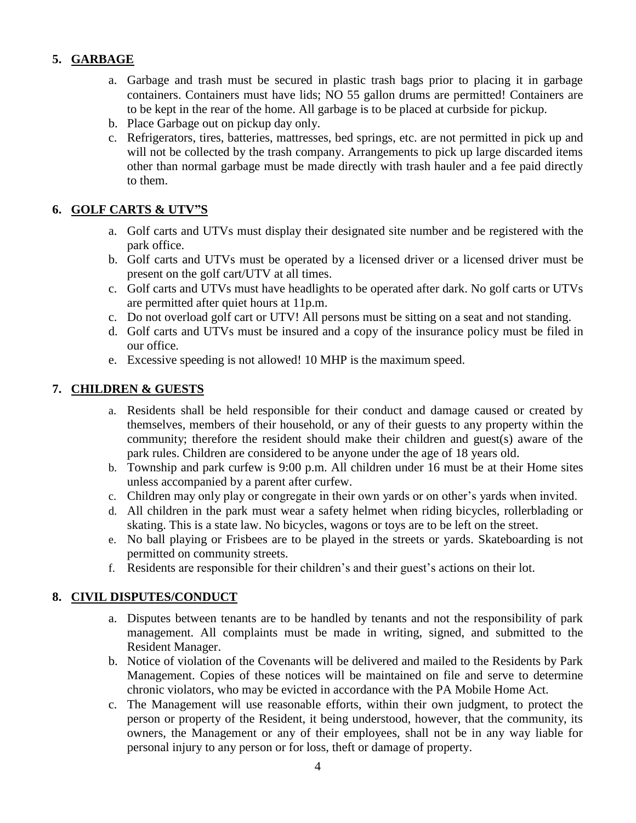#### **5. GARBAGE**

- a. Garbage and trash must be secured in plastic trash bags prior to placing it in garbage containers. Containers must have lids; NO 55 gallon drums are permitted! Containers are to be kept in the rear of the home. All garbage is to be placed at curbside for pickup.
- b. Place Garbage out on pickup day only.
- c. Refrigerators, tires, batteries, mattresses, bed springs, etc. are not permitted in pick up and will not be collected by the trash company. Arrangements to pick up large discarded items other than normal garbage must be made directly with trash hauler and a fee paid directly to them.

#### **6. GOLF CARTS & UTV"S**

- a. Golf carts and UTVs must display their designated site number and be registered with the park office.
- b. Golf carts and UTVs must be operated by a licensed driver or a licensed driver must be present on the golf cart/UTV at all times.
- c. Golf carts and UTVs must have headlights to be operated after dark. No golf carts or UTVs are permitted after quiet hours at 11p.m.
- c. Do not overload golf cart or UTV! All persons must be sitting on a seat and not standing.
- d. Golf carts and UTVs must be insured and a copy of the insurance policy must be filed in our office.
- e. Excessive speeding is not allowed! 10 MHP is the maximum speed.

#### **7. CHILDREN & GUESTS**

- a. Residents shall be held responsible for their conduct and damage caused or created by themselves, members of their household, or any of their guests to any property within the community; therefore the resident should make their children and guest(s) aware of the park rules. Children are considered to be anyone under the age of 18 years old.
- b. Township and park curfew is 9:00 p.m. All children under 16 must be at their Home sites unless accompanied by a parent after curfew.
- c. Children may only play or congregate in their own yards or on other's yards when invited.
- d. All children in the park must wear a safety helmet when riding bicycles, rollerblading or skating. This is a state law. No bicycles, wagons or toys are to be left on the street.
- e. No ball playing or Frisbees are to be played in the streets or yards. Skateboarding is not permitted on community streets.
- f. Residents are responsible for their children's and their guest's actions on their lot.

#### **8. CIVIL DISPUTES/CONDUCT**

- a. Disputes between tenants are to be handled by tenants and not the responsibility of park management. All complaints must be made in writing, signed, and submitted to the Resident Manager.
- b. Notice of violation of the Covenants will be delivered and mailed to the Residents by Park Management. Copies of these notices will be maintained on file and serve to determine chronic violators, who may be evicted in accordance with the PA Mobile Home Act.
- c. The Management will use reasonable efforts, within their own judgment, to protect the person or property of the Resident, it being understood, however, that the community, its owners, the Management or any of their employees, shall not be in any way liable for personal injury to any person or for loss, theft or damage of property.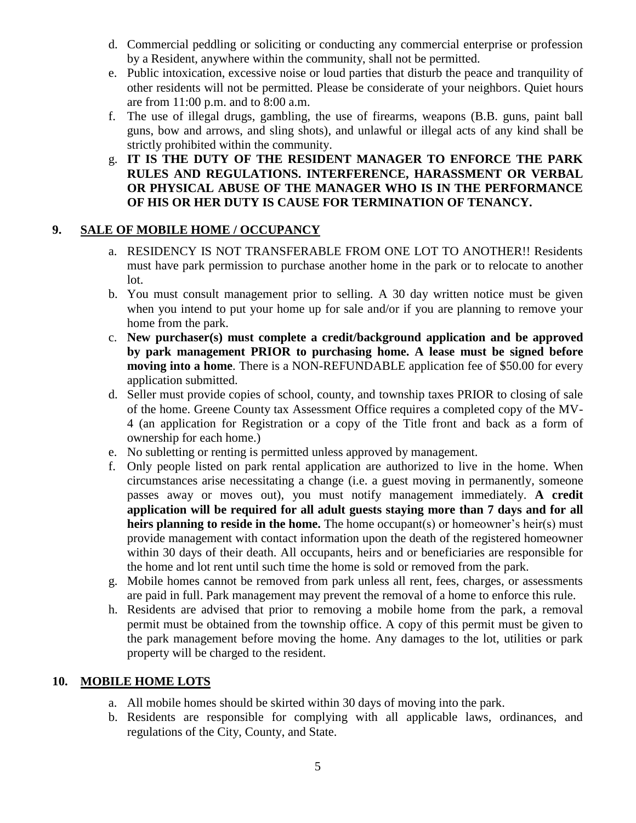- d. Commercial peddling or soliciting or conducting any commercial enterprise or profession by a Resident, anywhere within the community, shall not be permitted.
- e. Public intoxication, excessive noise or loud parties that disturb the peace and tranquility of other residents will not be permitted. Please be considerate of your neighbors. Quiet hours are from 11:00 p.m. and to 8:00 a.m.
- f. The use of illegal drugs, gambling, the use of firearms, weapons (B.B. guns, paint ball guns, bow and arrows, and sling shots), and unlawful or illegal acts of any kind shall be strictly prohibited within the community.
- g. **IT IS THE DUTY OF THE RESIDENT MANAGER TO ENFORCE THE PARK RULES AND REGULATIONS. INTERFERENCE, HARASSMENT OR VERBAL OR PHYSICAL ABUSE OF THE MANAGER WHO IS IN THE PERFORMANCE OF HIS OR HER DUTY IS CAUSE FOR TERMINATION OF TENANCY.**

#### **9. SALE OF MOBILE HOME / OCCUPANCY**

- a. RESIDENCY IS NOT TRANSFERABLE FROM ONE LOT TO ANOTHER!! Residents must have park permission to purchase another home in the park or to relocate to another lot.
- b. You must consult management prior to selling. A 30 day written notice must be given when you intend to put your home up for sale and/or if you are planning to remove your home from the park.
- c. **New purchaser(s) must complete a credit/background application and be approved by park management PRIOR to purchasing home. A lease must be signed before moving into a home**. There is a NON-REFUNDABLE application fee of \$50.00 for every application submitted.
- d. Seller must provide copies of school, county, and township taxes PRIOR to closing of sale of the home. Greene County tax Assessment Office requires a completed copy of the MV-4 (an application for Registration or a copy of the Title front and back as a form of ownership for each home.)
- e. No subletting or renting is permitted unless approved by management.
- f. Only people listed on park rental application are authorized to live in the home. When circumstances arise necessitating a change (i.e. a guest moving in permanently, someone passes away or moves out), you must notify management immediately. **A credit application will be required for all adult guests staying more than 7 days and for all heirs planning to reside in the home.** The home occupant(s) or homeowner's heir(s) must provide management with contact information upon the death of the registered homeowner within 30 days of their death. All occupants, heirs and or beneficiaries are responsible for the home and lot rent until such time the home is sold or removed from the park.
- g. Mobile homes cannot be removed from park unless all rent, fees, charges, or assessments are paid in full. Park management may prevent the removal of a home to enforce this rule.
- h. Residents are advised that prior to removing a mobile home from the park, a removal permit must be obtained from the township office. A copy of this permit must be given to the park management before moving the home. Any damages to the lot, utilities or park property will be charged to the resident.

#### **10. MOBILE HOME LOTS**

- a. All mobile homes should be skirted within 30 days of moving into the park.
- b. Residents are responsible for complying with all applicable laws, ordinances, and regulations of the City, County, and State.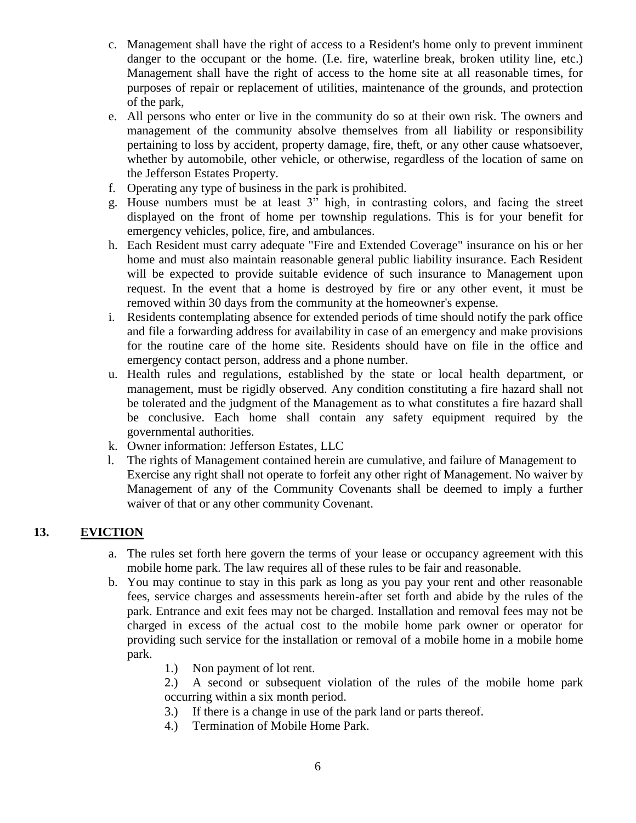- c. Management shall have the right of access to a Resident's home only to prevent imminent danger to the occupant or the home. (I.e. fire, waterline break, broken utility line, etc.) Management shall have the right of access to the home site at all reasonable times, for purposes of repair or replacement of utilities, maintenance of the grounds, and protection of the park,
- e. All persons who enter or live in the community do so at their own risk. The owners and management of the community absolve themselves from all liability or responsibility pertaining to loss by accident, property damage, fire, theft, or any other cause whatsoever, whether by automobile, other vehicle, or otherwise, regardless of the location of same on the Jefferson Estates Property.
- f. Operating any type of business in the park is prohibited.
- g. House numbers must be at least 3" high, in contrasting colors, and facing the street displayed on the front of home per township regulations. This is for your benefit for emergency vehicles, police, fire, and ambulances.
- h. Each Resident must carry adequate "Fire and Extended Coverage" insurance on his or her home and must also maintain reasonable general public liability insurance. Each Resident will be expected to provide suitable evidence of such insurance to Management upon request. In the event that a home is destroyed by fire or any other event, it must be removed within 30 days from the community at the homeowner's expense.
- i. Residents contemplating absence for extended periods of time should notify the park office and file a forwarding address for availability in case of an emergency and make provisions for the routine care of the home site. Residents should have on file in the office and emergency contact person, address and a phone number.
- u. Health rules and regulations, established by the state or local health department, or management, must be rigidly observed. Any condition constituting a fire hazard shall not be tolerated and the judgment of the Management as to what constitutes a fire hazard shall be conclusive. Each home shall contain any safety equipment required by the governmental authorities.
- k. Owner information: Jefferson Estates, LLC
- l. The rights of Management contained herein are cumulative, and failure of Management to Exercise any right shall not operate to forfeit any other right of Management. No waiver by Management of any of the Community Covenants shall be deemed to imply a further waiver of that or any other community Covenant.

#### **13. EVICTION**

- a. The rules set forth here govern the terms of your lease or occupancy agreement with this mobile home park. The law requires all of these rules to be fair and reasonable.
- b. You may continue to stay in this park as long as you pay your rent and other reasonable fees, service charges and assessments herein-after set forth and abide by the rules of the park. Entrance and exit fees may not be charged. Installation and removal fees may not be charged in excess of the actual cost to the mobile home park owner or operator for providing such service for the installation or removal of a mobile home in a mobile home park.
	- 1.) Non payment of lot rent.
	- 2.) A second or subsequent violation of the rules of the mobile home park occurring within a six month period.
	- 3.) If there is a change in use of the park land or parts thereof.
	- 4.) Termination of Mobile Home Park.